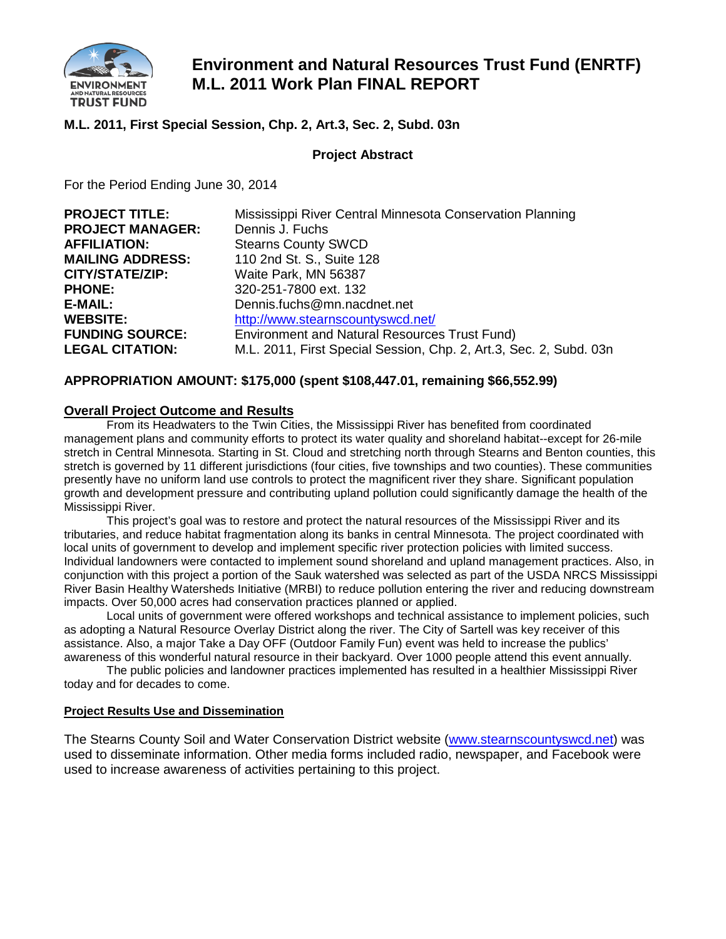

# **Environment and Natural Resources Trust Fund (ENRTF) M.L. 2011 Work Plan FINAL REPORT**

# **M.L. 2011, First Special Session, Chp. 2, Art.3, Sec. 2, Subd. 03n**

#### **Project Abstract**

For the Period Ending June 30, 2014

| <b>PROJECT TITLE:</b>   | Mississippi River Central Minnesota Conservation Planning          |
|-------------------------|--------------------------------------------------------------------|
| <b>PROJECT MANAGER:</b> | Dennis J. Fuchs                                                    |
| <b>AFFILIATION:</b>     | <b>Stearns County SWCD</b>                                         |
| <b>MAILING ADDRESS:</b> | 110 2nd St. S., Suite 128                                          |
| CITY/STATE/ZIP:         | Waite Park, MN 56387                                               |
| <b>PHONE:</b>           | 320-251-7800 ext. 132                                              |
| E-MAIL:                 | Dennis.fuchs@mn.nacdnet.net                                        |
| <b>WEBSITE:</b>         | http://www.stearnscountyswcd.net/                                  |
| <b>FUNDING SOURCE:</b>  | Environment and Natural Resources Trust Fund)                      |
| <b>LEGAL CITATION:</b>  | M.L. 2011, First Special Session, Chp. 2, Art.3, Sec. 2, Subd. 03n |

#### **APPROPRIATION AMOUNT: \$175,000 (spent \$108,447.01, remaining \$66,552.99)**

#### **Overall Project Outcome and Results**

From its Headwaters to the Twin Cities, the Mississippi River has benefited from coordinated management plans and community efforts to protect its water quality and shoreland habitat--except for 26-mile stretch in Central Minnesota. Starting in St. Cloud and stretching north through Stearns and Benton counties, this stretch is governed by 11 different jurisdictions (four cities, five townships and two counties). These communities presently have no uniform land use controls to protect the magnificent river they share. Significant population growth and development pressure and contributing upland pollution could significantly damage the health of the Mississippi River.

This project's goal was to restore and protect the natural resources of the Mississippi River and its tributaries, and reduce habitat fragmentation along its banks in central Minnesota. The project coordinated with local units of government to develop and implement specific river protection policies with limited success. Individual landowners were contacted to implement sound shoreland and upland management practices. Also, in conjunction with this project a portion of the Sauk watershed was selected as part of the USDA NRCS Mississippi River Basin Healthy Watersheds Initiative (MRBI) to reduce pollution entering the river and reducing downstream impacts. Over 50,000 acres had conservation practices planned or applied.

Local units of government were offered workshops and technical assistance to implement policies, such as adopting a Natural Resource Overlay District along the river. The City of Sartell was key receiver of this assistance. Also, a major Take a Day OFF (Outdoor Family Fun) event was held to increase the publics' awareness of this wonderful natural resource in their backyard. Over 1000 people attend this event annually.

The public policies and landowner practices implemented has resulted in a healthier Mississippi River today and for decades to come.

#### **Project Results Use and Dissemination**

The Stearns County Soil and Water Conservation District website [\(www.stearnscountyswcd.net\)](http://www.stearnscountyswcd.net/) was used to disseminate information. Other media forms included radio, newspaper, and Facebook were used to increase awareness of activities pertaining to this project.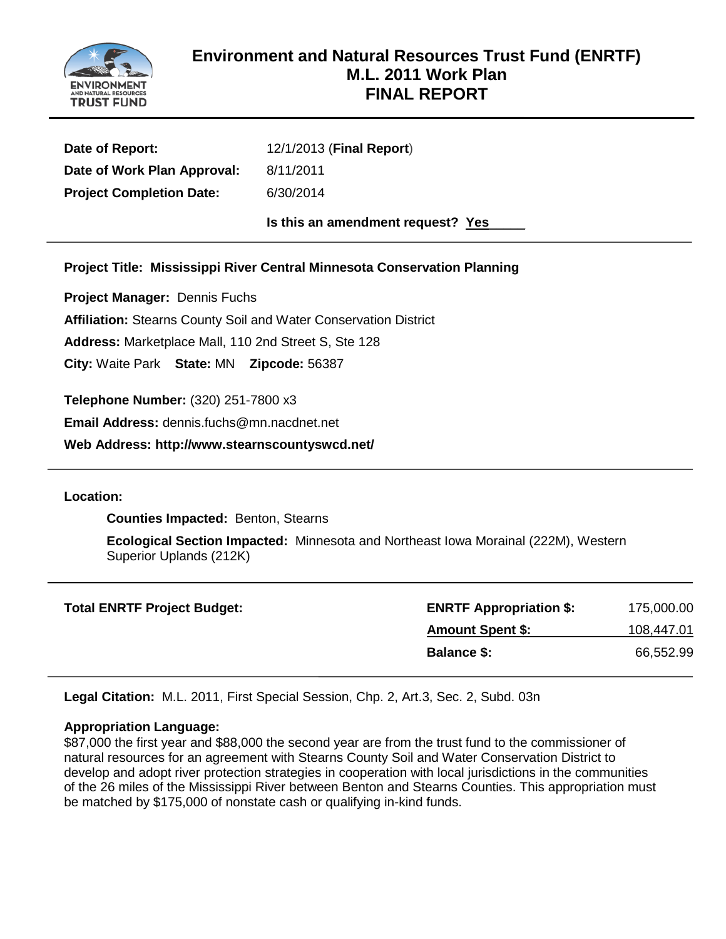

|                                 | Is this an amendment request? Yes |
|---------------------------------|-----------------------------------|
| <b>Project Completion Date:</b> | 6/30/2014                         |
| Date of Work Plan Approval:     | 8/11/2011                         |
| Date of Report:                 | 12/1/2013 (Final Report)          |

**Project Title: Mississippi River Central Minnesota Conservation Planning**

**Project Manager:** Dennis Fuchs

**Affiliation:** Stearns County Soil and Water Conservation District

**Address:** Marketplace Mall, 110 2nd Street S, Ste 128

**City:** Waite Park **State:** MN **Zipcode:** 56387

**Telephone Number:** (320) 251-7800 x3

**Email Address:** dennis.fuchs@mn.nacdnet.net

**Web Address: http://www.stearnscountyswcd.net/**

**Location:**

**Counties Impacted:** Benton, Stearns

**Ecological Section Impacted:** Minnesota and Northeast Iowa Morainal (222M), Western Superior Uplands (212K)

| <b>Total ENRTF Project Budget:</b> | <b>ENRTF Appropriation \$:</b> | 175,000.00 |
|------------------------------------|--------------------------------|------------|
|                                    | <b>Amount Spent \$:</b>        | 108,447.01 |
|                                    | <b>Balance \$:</b>             | 66,552.99  |
|                                    |                                |            |

**Legal Citation:** M.L. 2011, First Special Session, Chp. 2, Art.3, Sec. 2, Subd. 03n

#### **Appropriation Language:**

\$87,000 the first year and \$88,000 the second year are from the trust fund to the commissioner of natural resources for an agreement with Stearns County Soil and Water Conservation District to develop and adopt river protection strategies in cooperation with local jurisdictions in the communities of the 26 miles of the Mississippi River between Benton and Stearns Counties. This appropriation must be matched by \$175,000 of nonstate cash or qualifying in-kind funds.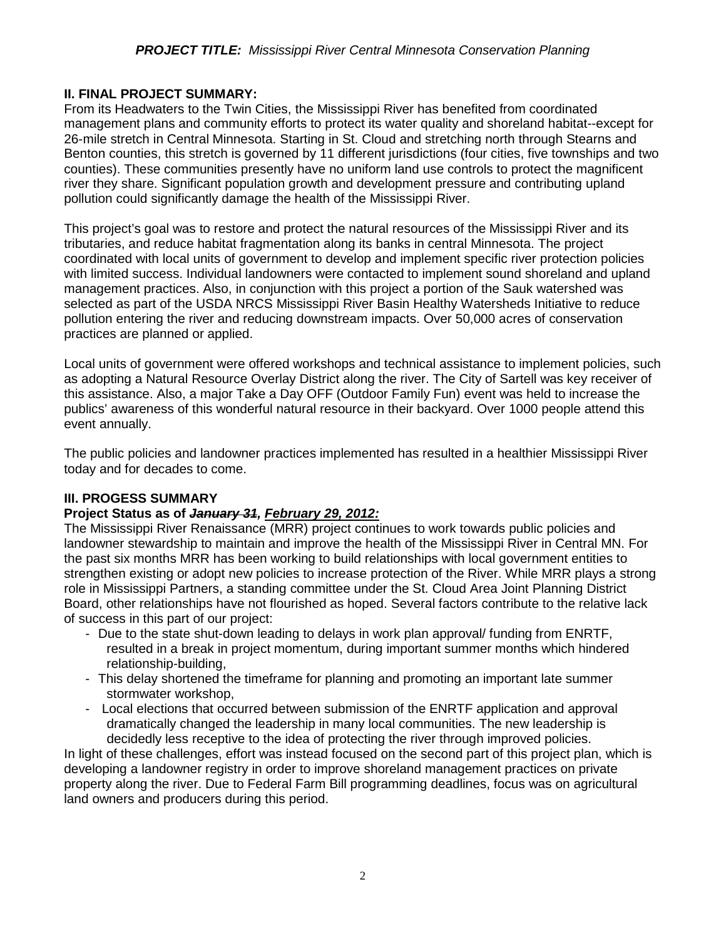#### **II. FINAL PROJECT SUMMARY:**

From its Headwaters to the Twin Cities, the Mississippi River has benefited from coordinated management plans and community efforts to protect its water quality and shoreland habitat--except for 26-mile stretch in Central Minnesota. Starting in St. Cloud and stretching north through Stearns and Benton counties, this stretch is governed by 11 different jurisdictions (four cities, five townships and two counties). These communities presently have no uniform land use controls to protect the magnificent river they share. Significant population growth and development pressure and contributing upland pollution could significantly damage the health of the Mississippi River.

This project's goal was to restore and protect the natural resources of the Mississippi River and its tributaries, and reduce habitat fragmentation along its banks in central Minnesota. The project coordinated with local units of government to develop and implement specific river protection policies with limited success. Individual landowners were contacted to implement sound shoreland and upland management practices. Also, in conjunction with this project a portion of the Sauk watershed was selected as part of the USDA NRCS Mississippi River Basin Healthy Watersheds Initiative to reduce pollution entering the river and reducing downstream impacts. Over 50,000 acres of conservation practices are planned or applied.

Local units of government were offered workshops and technical assistance to implement policies, such as adopting a Natural Resource Overlay District along the river. The City of Sartell was key receiver of this assistance. Also, a major Take a Day OFF (Outdoor Family Fun) event was held to increase the publics' awareness of this wonderful natural resource in their backyard. Over 1000 people attend this event annually.

The public policies and landowner practices implemented has resulted in a healthier Mississippi River today and for decades to come.

#### **III. PROGESS SUMMARY**

# **Project Status as of** *January 31, February 29, 2012:*

The Mississippi River Renaissance (MRR) project continues to work towards public policies and landowner stewardship to maintain and improve the health of the Mississippi River in Central MN. For the past six months MRR has been working to build relationships with local government entities to strengthen existing or adopt new policies to increase protection of the River. While MRR plays a strong role in Mississippi Partners, a standing committee under the St. Cloud Area Joint Planning District Board, other relationships have not flourished as hoped. Several factors contribute to the relative lack of success in this part of our project:

- Due to the state shut-down leading to delays in work plan approval/ funding from ENRTF, resulted in a break in project momentum, during important summer months which hindered relationship-building,
- This delay shortened the timeframe for planning and promoting an important late summer stormwater workshop,
- Local elections that occurred between submission of the ENRTF application and approval dramatically changed the leadership in many local communities. The new leadership is decidedly less receptive to the idea of protecting the river through improved policies.

In light of these challenges, effort was instead focused on the second part of this project plan, which is developing a landowner registry in order to improve shoreland management practices on private property along the river. Due to Federal Farm Bill programming deadlines, focus was on agricultural land owners and producers during this period.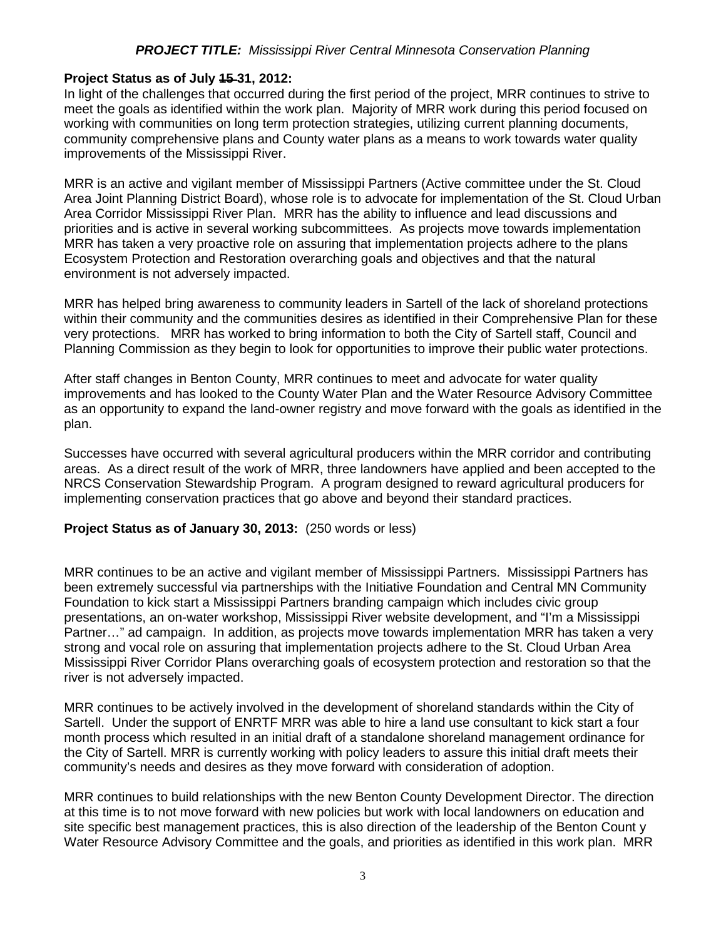#### **Project Status as of July 15 31, 2012:**

In light of the challenges that occurred during the first period of the project, MRR continues to strive to meet the goals as identified within the work plan. Majority of MRR work during this period focused on working with communities on long term protection strategies, utilizing current planning documents, community comprehensive plans and County water plans as a means to work towards water quality improvements of the Mississippi River.

MRR is an active and vigilant member of Mississippi Partners (Active committee under the St. Cloud Area Joint Planning District Board), whose role is to advocate for implementation of the St. Cloud Urban Area Corridor Mississippi River Plan. MRR has the ability to influence and lead discussions and priorities and is active in several working subcommittees. As projects move towards implementation MRR has taken a very proactive role on assuring that implementation projects adhere to the plans Ecosystem Protection and Restoration overarching goals and objectives and that the natural environment is not adversely impacted.

MRR has helped bring awareness to community leaders in Sartell of the lack of shoreland protections within their community and the communities desires as identified in their Comprehensive Plan for these very protections. MRR has worked to bring information to both the City of Sartell staff, Council and Planning Commission as they begin to look for opportunities to improve their public water protections.

After staff changes in Benton County, MRR continues to meet and advocate for water quality improvements and has looked to the County Water Plan and the Water Resource Advisory Committee as an opportunity to expand the land-owner registry and move forward with the goals as identified in the plan.

Successes have occurred with several agricultural producers within the MRR corridor and contributing areas. As a direct result of the work of MRR, three landowners have applied and been accepted to the NRCS Conservation Stewardship Program. A program designed to reward agricultural producers for implementing conservation practices that go above and beyond their standard practices.

## **Project Status as of January 30, 2013:** (250 words or less)

MRR continues to be an active and vigilant member of Mississippi Partners. Mississippi Partners has been extremely successful via partnerships with the Initiative Foundation and Central MN Community Foundation to kick start a Mississippi Partners branding campaign which includes civic group presentations, an on-water workshop, Mississippi River website development, and "I'm a Mississippi Partner…" ad campaign. In addition, as projects move towards implementation MRR has taken a very strong and vocal role on assuring that implementation projects adhere to the St. Cloud Urban Area Mississippi River Corridor Plans overarching goals of ecosystem protection and restoration so that the river is not adversely impacted.

MRR continues to be actively involved in the development of shoreland standards within the City of Sartell. Under the support of ENRTF MRR was able to hire a land use consultant to kick start a four month process which resulted in an initial draft of a standalone shoreland management ordinance for the City of Sartell. MRR is currently working with policy leaders to assure this initial draft meets their community's needs and desires as they move forward with consideration of adoption.

MRR continues to build relationships with the new Benton County Development Director. The direction at this time is to not move forward with new policies but work with local landowners on education and site specific best management practices, this is also direction of the leadership of the Benton Count y Water Resource Advisory Committee and the goals, and priorities as identified in this work plan. MRR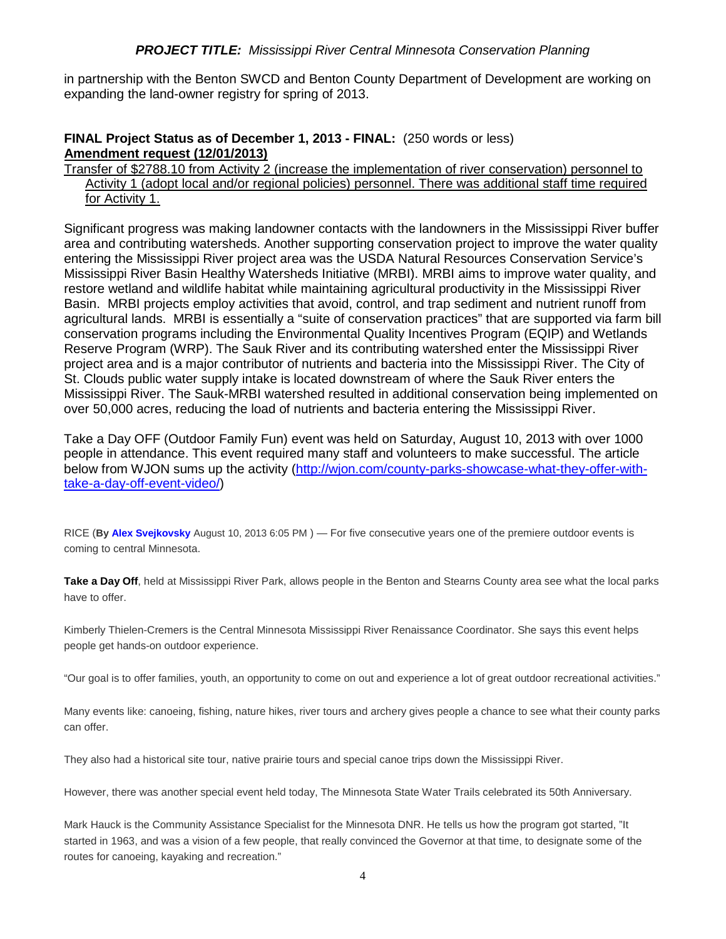in partnership with the Benton SWCD and Benton County Department of Development are working on expanding the land-owner registry for spring of 2013.

#### **FINAL Project Status as of December 1, 2013 - FINAL:** (250 words or less) **Amendment request (12/01/2013)**

#### Transfer of \$2788.10 from Activity 2 (increase the implementation of river conservation) personnel to Activity 1 (adopt local and/or regional policies) personnel. There was additional staff time required for Activity 1.

Significant progress was making landowner contacts with the landowners in the Mississippi River buffer area and contributing watersheds. Another supporting conservation project to improve the water quality entering the Mississippi River project area was the USDA Natural Resources Conservation Service's Mississippi River Basin Healthy Watersheds Initiative (MRBI). MRBI aims to improve water quality, and restore wetland and wildlife habitat while maintaining agricultural productivity in the Mississippi River Basin. MRBI projects employ activities that avoid, control, and trap sediment and nutrient runoff from agricultural lands. MRBI is essentially a "suite of conservation practices" that are supported via farm bill conservation programs including the Environmental Quality Incentives Program (EQIP) and Wetlands Reserve Program (WRP). The Sauk River and its contributing watershed enter the Mississippi River project area and is a major contributor of nutrients and bacteria into the Mississippi River. The City of St. Clouds public water supply intake is located downstream of where the Sauk River enters the Mississippi River. The Sauk-MRBI watershed resulted in additional conservation being implemented on over 50,000 acres, reducing the load of nutrients and bacteria entering the Mississippi River.

Take a Day OFF (Outdoor Family Fun) event was held on Saturday, August 10, 2013 with over 1000 people in attendance. This event required many staff and volunteers to make successful. The article below from WJON sums up the activity [\(http://wjon.com/county-parks-showcase-what-they-offer-with](http://wjon.com/county-parks-showcase-what-they-offer-with-take-a-day-off-event-video/)[take-a-day-off-event-video/\)](http://wjon.com/county-parks-showcase-what-they-offer-with-take-a-day-off-event-video/)

RICE (**By [Alex Svejkovsky](http://wjon.com/author/asvejkovsky/)** August 10, 2013 6:05 PM ) — For five consecutive years one of the premiere outdoor events is coming to central Minnesota.

**[Take a Day Off](http://www.stearnscountyswcd.net/pages/TakeaDayOFF/)**, held at Mississippi River Park, allows people in the Benton and Stearns County area see what the local parks have to offer.

Kimberly Thielen-Cremers is the Central Minnesota Mississippi River Renaissance Coordinator. She says this event helps people get hands-on outdoor experience.

"Our goal is to offer families, youth, an opportunity to come on out and experience a lot of great outdoor recreational activities."

Many events like: canoeing, fishing, nature hikes, river tours and archery gives people a chance to see what their county parks can offer.

They also had a historical site tour, native prairie tours and special canoe trips down the Mississippi River.

However, there was another special event held today, The Minnesota State Water Trails celebrated its 50th Anniversary.

Mark Hauck is the Community Assistance Specialist for the Minnesota DNR. He tells us how the program got started, "It started in 1963, and was a vision of a few people, that really convinced the Governor at that time, to designate some of the routes for canoeing, kayaking and recreation."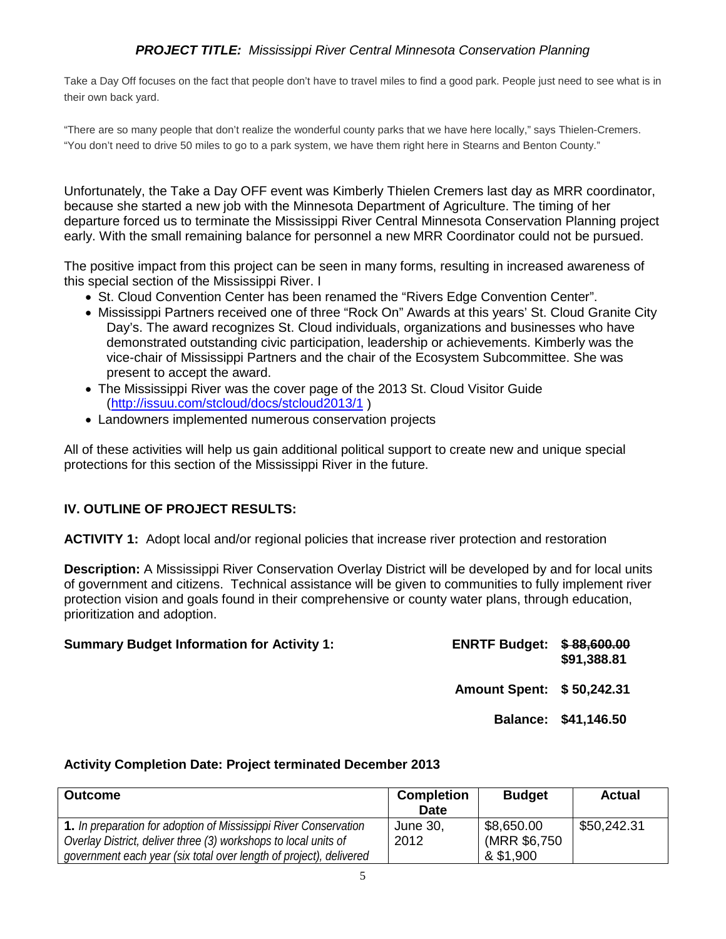Take a Day Off focuses on the fact that people don't have to travel miles to find a good park. People just need to see what is in their own back yard.

"There are so many people that don't realize the wonderful county parks that we have here locally," says Thielen-Cremers. "You don't need to drive 50 miles to go to a park system, we have them right here in Stearns and Benton County."

Unfortunately, the Take a Day OFF event was Kimberly Thielen Cremers last day as MRR coordinator, because she started a new job with the Minnesota Department of Agriculture. The timing of her departure forced us to terminate the Mississippi River Central Minnesota Conservation Planning project early. With the small remaining balance for personnel a new MRR Coordinator could not be pursued.

The positive impact from this project can be seen in many forms, resulting in increased awareness of this special section of the Mississippi River. I

- St. Cloud Convention Center has been renamed the "Rivers Edge Convention Center".
- Mississippi Partners received one of three "Rock On" Awards at this years' St. Cloud Granite City Day's. The award recognizes St. Cloud individuals, organizations and businesses who have demonstrated outstanding civic participation, leadership or achievements. Kimberly was the vice-chair of Mississippi Partners and the chair of the Ecosystem Subcommittee. She was present to accept the award.
- The Mississippi River was the cover page of the 2013 St. Cloud Visitor Guide [\(http://issuu.com/stcloud/docs/stcloud2013/1](http://issuu.com/stcloud/docs/stcloud2013/1) )
- Landowners implemented numerous conservation projects

All of these activities will help us gain additional political support to create new and unique special protections for this section of the Mississippi River in the future.

# **IV. OUTLINE OF PROJECT RESULTS:**

**ACTIVITY 1:** Adopt local and/or regional policies that increase river protection and restoration

**Description:** A Mississippi River Conservation Overlay District will be developed by and for local units of government and citizens. Technical assistance will be given to communities to fully implement river protection vision and goals found in their comprehensive or county water plans, through education, prioritization and adoption.

| <b>Summary Budget Information for Activity 1:</b> | <b>ENRTF Budget: \$88,600.00</b> | \$91,388.81 |
|---------------------------------------------------|----------------------------------|-------------|
|                                                   | Amount Spent: \$50,242.31        |             |

**Balance: \$41,146.50**

#### **Activity Completion Date: Project terminated December 2013**

| <b>Outcome</b>                                                          | <b>Completion</b> | <b>Budget</b> | <b>Actual</b> |
|-------------------------------------------------------------------------|-------------------|---------------|---------------|
|                                                                         | <b>Date</b>       |               |               |
| <b>1.</b> In preparation for adoption of Mississippi River Conservation | June 30,          | \$8,650.00    | \$50,242.31   |
| Overlay District, deliver three (3) workshops to local units of         | 2012              | (MRR \$6,750) |               |
| government each year (six total over length of project), delivered      |                   | & \$1,900     |               |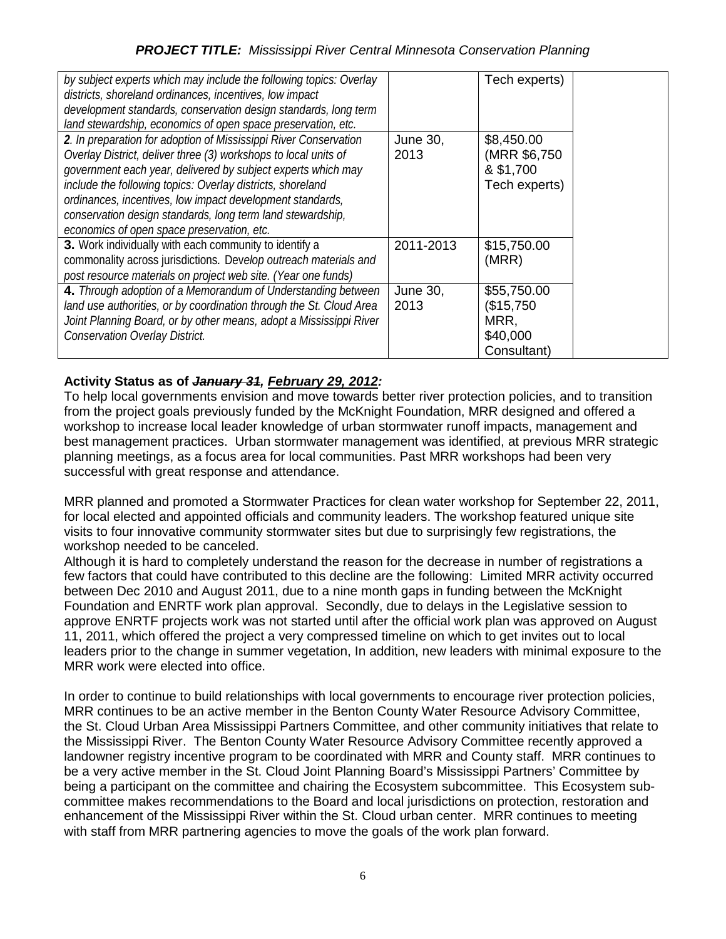| by subject experts which may include the following topics: Overlay<br>districts, shoreland ordinances, incentives, low impact<br>development standards, conservation design standards, long term<br>land stewardship, economics of open space preservation, etc.                                                                                                                                                                           |                         | Tech experts)                                               |  |
|--------------------------------------------------------------------------------------------------------------------------------------------------------------------------------------------------------------------------------------------------------------------------------------------------------------------------------------------------------------------------------------------------------------------------------------------|-------------------------|-------------------------------------------------------------|--|
| 2. In preparation for adoption of Mississippi River Conservation<br>Overlay District, deliver three (3) workshops to local units of<br>government each year, delivered by subject experts which may<br>include the following topics: Overlay districts, shoreland<br>ordinances, incentives, low impact development standards,<br>conservation design standards, long term land stewardship,<br>economics of open space preservation, etc. | June 30,<br>2013        | \$8,450.00<br>(MRR \$6,750)<br>& \$1,700<br>Tech experts)   |  |
| 3. Work individually with each community to identify a<br>commonality across jurisdictions. Develop outreach materials and<br>post resource materials on project web site. (Year one funds)                                                                                                                                                                                                                                                | 2011-2013               | \$15,750.00<br>(MRR)                                        |  |
| 4. Through adoption of a Memorandum of Understanding between<br>land use authorities, or by coordination through the St. Cloud Area<br>Joint Planning Board, or by other means, adopt a Mississippi River<br>Conservation Overlay District.                                                                                                                                                                                                | <b>June 30,</b><br>2013 | \$55,750.00<br>(\$15,750<br>MRR,<br>\$40,000<br>Consultant) |  |

# **Activity Status as of** *January 31, February 29, 2012:*

To help local governments envision and move towards better river protection policies, and to transition from the project goals previously funded by the McKnight Foundation, MRR designed and offered a workshop to increase local leader knowledge of urban stormwater runoff impacts, management and best management practices. Urban stormwater management was identified, at previous MRR strategic planning meetings, as a focus area for local communities. Past MRR workshops had been very successful with great response and attendance.

MRR planned and promoted a Stormwater Practices for clean water workshop for September 22, 2011, for local elected and appointed officials and community leaders. The workshop featured unique site visits to four innovative community stormwater sites but due to surprisingly few registrations, the workshop needed to be canceled.

Although it is hard to completely understand the reason for the decrease in number of registrations a few factors that could have contributed to this decline are the following: Limited MRR activity occurred between Dec 2010 and August 2011, due to a nine month gaps in funding between the McKnight Foundation and ENRTF work plan approval. Secondly, due to delays in the Legislative session to approve ENRTF projects work was not started until after the official work plan was approved on August 11, 2011, which offered the project a very compressed timeline on which to get invites out to local leaders prior to the change in summer vegetation, In addition, new leaders with minimal exposure to the MRR work were elected into office.

In order to continue to build relationships with local governments to encourage river protection policies, MRR continues to be an active member in the Benton County Water Resource Advisory Committee, the St. Cloud Urban Area Mississippi Partners Committee, and other community initiatives that relate to the Mississippi River. The Benton County Water Resource Advisory Committee recently approved a landowner registry incentive program to be coordinated with MRR and County staff. MRR continues to be a very active member in the St. Cloud Joint Planning Board's Mississippi Partners' Committee by being a participant on the committee and chairing the Ecosystem subcommittee. This Ecosystem subcommittee makes recommendations to the Board and local jurisdictions on protection, restoration and enhancement of the Mississippi River within the St. Cloud urban center. MRR continues to meeting with staff from MRR partnering agencies to move the goals of the work plan forward.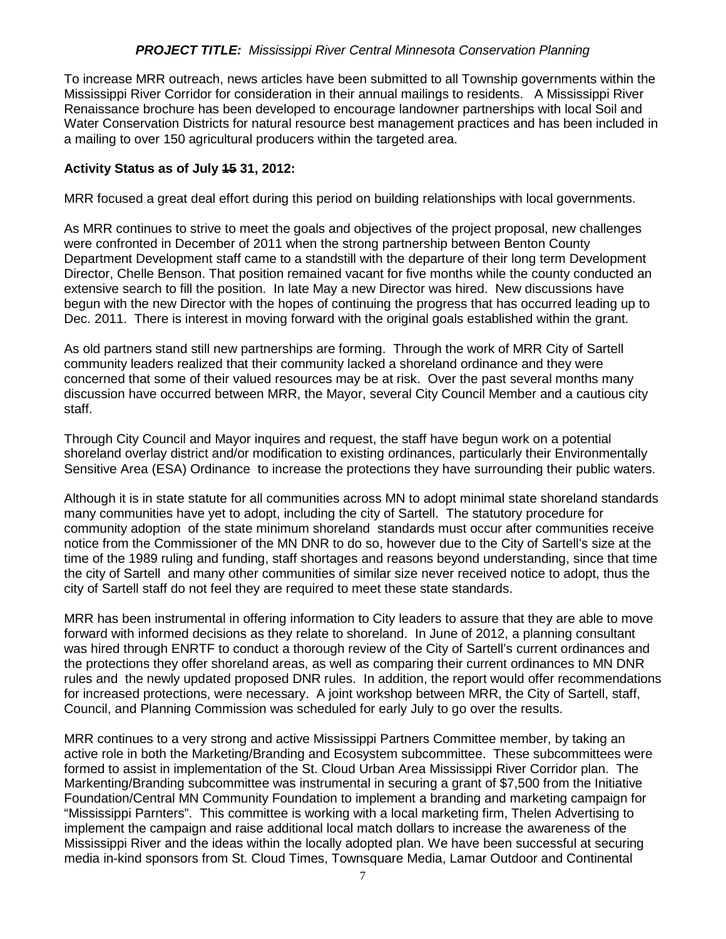To increase MRR outreach, news articles have been submitted to all Township governments within the Mississippi River Corridor for consideration in their annual mailings to residents. A Mississippi River Renaissance brochure has been developed to encourage landowner partnerships with local Soil and Water Conservation Districts for natural resource best management practices and has been included in a mailing to over 150 agricultural producers within the targeted area.

# **Activity Status as of July 15 31, 2012:**

MRR focused a great deal effort during this period on building relationships with local governments.

As MRR continues to strive to meet the goals and objectives of the project proposal, new challenges were confronted in December of 2011 when the strong partnership between Benton County Department Development staff came to a standstill with the departure of their long term Development Director, Chelle Benson. That position remained vacant for five months while the county conducted an extensive search to fill the position. In late May a new Director was hired. New discussions have begun with the new Director with the hopes of continuing the progress that has occurred leading up to Dec. 2011. There is interest in moving forward with the original goals established within the grant.

As old partners stand still new partnerships are forming. Through the work of MRR City of Sartell community leaders realized that their community lacked a shoreland ordinance and they were concerned that some of their valued resources may be at risk. Over the past several months many discussion have occurred between MRR, the Mayor, several City Council Member and a cautious city staff.

Through City Council and Mayor inquires and request, the staff have begun work on a potential shoreland overlay district and/or modification to existing ordinances, particularly their Environmentally Sensitive Area (ESA) Ordinance to increase the protections they have surrounding their public waters.

Although it is in state statute for all communities across MN to adopt minimal state shoreland standards many communities have yet to adopt, including the city of Sartell. The statutory procedure for community adoption of the state minimum shoreland standards must occur after communities receive notice from the Commissioner of the MN DNR to do so, however due to the City of Sartell's size at the time of the 1989 ruling and funding, staff shortages and reasons beyond understanding, since that time the city of Sartell and many other communities of similar size never received notice to adopt, thus the city of Sartell staff do not feel they are required to meet these state standards.

MRR has been instrumental in offering information to City leaders to assure that they are able to move forward with informed decisions as they relate to shoreland. In June of 2012, a planning consultant was hired through ENRTF to conduct a thorough review of the City of Sartell's current ordinances and the protections they offer shoreland areas, as well as comparing their current ordinances to MN DNR rules and the newly updated proposed DNR rules. In addition, the report would offer recommendations for increased protections, were necessary. A joint workshop between MRR, the City of Sartell, staff, Council, and Planning Commission was scheduled for early July to go over the results.

MRR continues to a very strong and active Mississippi Partners Committee member, by taking an active role in both the Marketing/Branding and Ecosystem subcommittee. These subcommittees were formed to assist in implementation of the St. Cloud Urban Area Mississippi River Corridor plan. The Markenting/Branding subcommittee was instrumental in securing a grant of \$7,500 from the Initiative Foundation/Central MN Community Foundation to implement a branding and marketing campaign for "Mississippi Parnters". This committee is working with a local marketing firm, Thelen Advertising to implement the campaign and raise additional local match dollars to increase the awareness of the Mississippi River and the ideas within the locally adopted plan. We have been successful at securing media in-kind sponsors from St. Cloud Times, Townsquare Media, Lamar Outdoor and Continental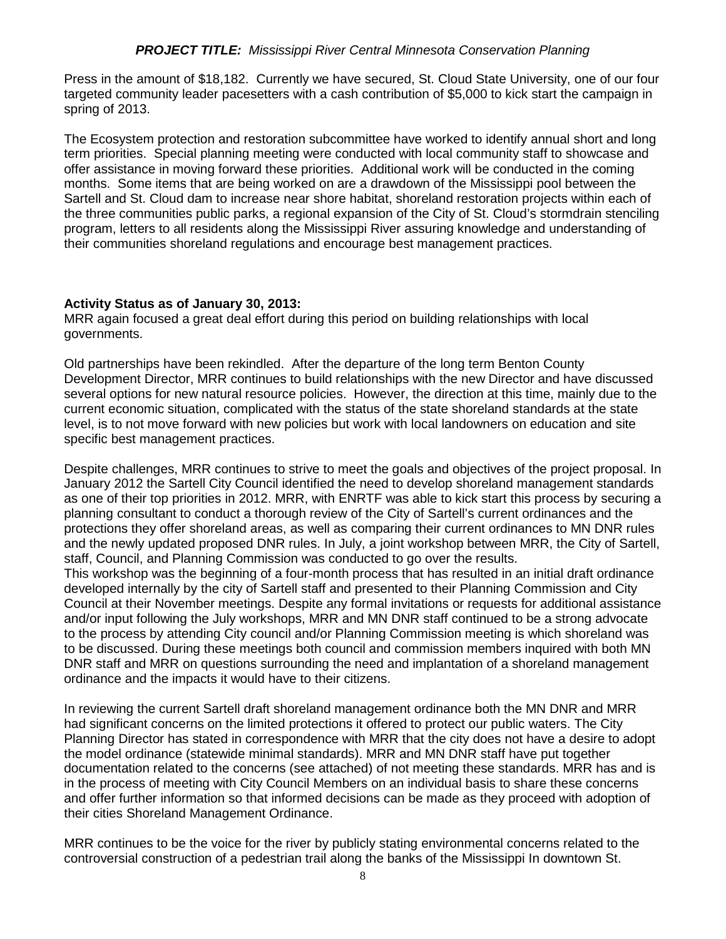Press in the amount of \$18,182. Currently we have secured, St. Cloud State University, one of our four targeted community leader pacesetters with a cash contribution of \$5,000 to kick start the campaign in spring of 2013.

The Ecosystem protection and restoration subcommittee have worked to identify annual short and long term priorities. Special planning meeting were conducted with local community staff to showcase and offer assistance in moving forward these priorities. Additional work will be conducted in the coming months. Some items that are being worked on are a drawdown of the Mississippi pool between the Sartell and St. Cloud dam to increase near shore habitat, shoreland restoration projects within each of the three communities public parks, a regional expansion of the City of St. Cloud's stormdrain stenciling program, letters to all residents along the Mississippi River assuring knowledge and understanding of their communities shoreland regulations and encourage best management practices.

#### **Activity Status as of January 30, 2013:**

MRR again focused a great deal effort during this period on building relationships with local governments.

Old partnerships have been rekindled. After the departure of the long term Benton County Development Director, MRR continues to build relationships with the new Director and have discussed several options for new natural resource policies. However, the direction at this time, mainly due to the current economic situation, complicated with the status of the state shoreland standards at the state level, is to not move forward with new policies but work with local landowners on education and site specific best management practices.

Despite challenges, MRR continues to strive to meet the goals and objectives of the project proposal. In January 2012 the Sartell City Council identified the need to develop shoreland management standards as one of their top priorities in 2012. MRR, with ENRTF was able to kick start this process by securing a planning consultant to conduct a thorough review of the City of Sartell's current ordinances and the protections they offer shoreland areas, as well as comparing their current ordinances to MN DNR rules and the newly updated proposed DNR rules. In July, a joint workshop between MRR, the City of Sartell, staff, Council, and Planning Commission was conducted to go over the results.

This workshop was the beginning of a four-month process that has resulted in an initial draft ordinance developed internally by the city of Sartell staff and presented to their Planning Commission and City Council at their November meetings. Despite any formal invitations or requests for additional assistance and/or input following the July workshops, MRR and MN DNR staff continued to be a strong advocate to the process by attending City council and/or Planning Commission meeting is which shoreland was to be discussed. During these meetings both council and commission members inquired with both MN DNR staff and MRR on questions surrounding the need and implantation of a shoreland management ordinance and the impacts it would have to their citizens.

In reviewing the current Sartell draft shoreland management ordinance both the MN DNR and MRR had significant concerns on the limited protections it offered to protect our public waters. The City Planning Director has stated in correspondence with MRR that the city does not have a desire to adopt the model ordinance (statewide minimal standards). MRR and MN DNR staff have put together documentation related to the concerns (see attached) of not meeting these standards. MRR has and is in the process of meeting with City Council Members on an individual basis to share these concerns and offer further information so that informed decisions can be made as they proceed with adoption of their cities Shoreland Management Ordinance.

MRR continues to be the voice for the river by publicly stating environmental concerns related to the controversial construction of a pedestrian trail along the banks of the Mississippi In downtown St.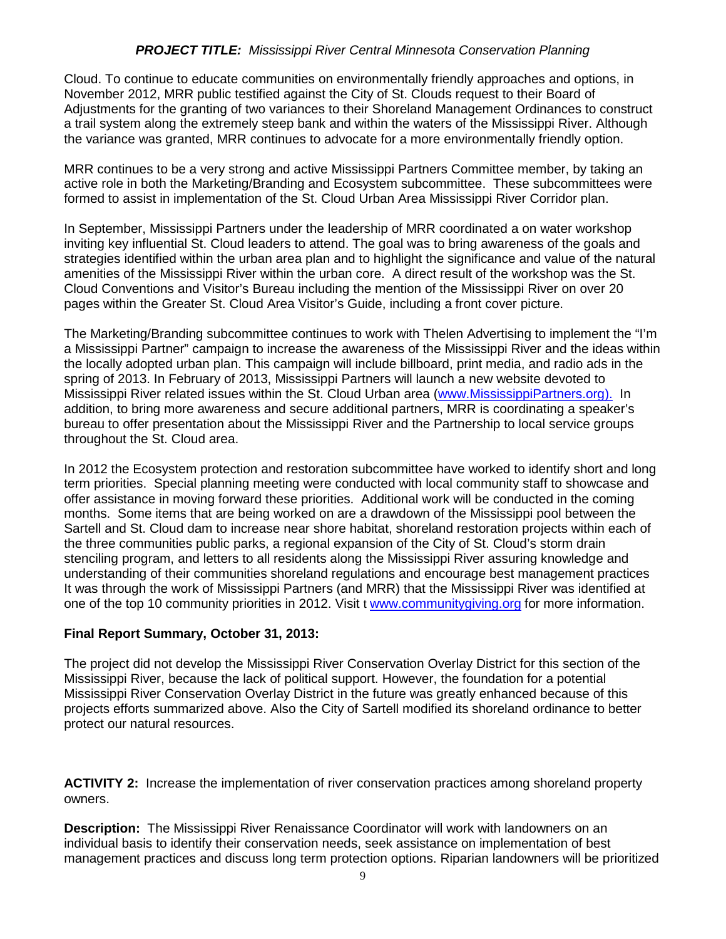Cloud. To continue to educate communities on environmentally friendly approaches and options, in November 2012, MRR public testified against the City of St. Clouds request to their Board of Adjustments for the granting of two variances to their Shoreland Management Ordinances to construct a trail system along the extremely steep bank and within the waters of the Mississippi River. Although the variance was granted, MRR continues to advocate for a more environmentally friendly option.

MRR continues to be a very strong and active Mississippi Partners Committee member, by taking an active role in both the Marketing/Branding and Ecosystem subcommittee. These subcommittees were formed to assist in implementation of the St. Cloud Urban Area Mississippi River Corridor plan.

In September, Mississippi Partners under the leadership of MRR coordinated a on water workshop inviting key influential St. Cloud leaders to attend. The goal was to bring awareness of the goals and strategies identified within the urban area plan and to highlight the significance and value of the natural amenities of the Mississippi River within the urban core. A direct result of the workshop was the St. Cloud Conventions and Visitor's Bureau including the mention of the Mississippi River on over 20 pages within the Greater St. Cloud Area Visitor's Guide, including a front cover picture.

The Marketing/Branding subcommittee continues to work with Thelen Advertising to implement the "I'm a Mississippi Partner" campaign to increase the awareness of the Mississippi River and the ideas within the locally adopted urban plan. This campaign will include billboard, print media, and radio ads in the spring of 2013. In February of 2013, Mississippi Partners will launch a new website devoted to Mississippi River related issues within the St. Cloud Urban area [\(www.MississippiPartners.org\)](http://www.mississippipartners.org/). In addition, to bring more awareness and secure additional partners, MRR is coordinating a speaker's bureau to offer presentation about the Mississippi River and the Partnership to local service groups throughout the St. Cloud area.

In 2012 the Ecosystem protection and restoration subcommittee have worked to identify short and long term priorities. Special planning meeting were conducted with local community staff to showcase and offer assistance in moving forward these priorities. Additional work will be conducted in the coming months. Some items that are being worked on are a drawdown of the Mississippi pool between the Sartell and St. Cloud dam to increase near shore habitat, shoreland restoration projects within each of the three communities public parks, a regional expansion of the City of St. Cloud's storm drain stenciling program, and letters to all residents along the Mississippi River assuring knowledge and understanding of their communities shoreland regulations and encourage best management practices It was through the work of Mississippi Partners (and MRR) that the Mississippi River was identified at one of the top 10 community priorities in 2012. Visit t [www.communitygiving.org](http://www.communitygiving.org/) for more information.

## **Final Report Summary, October 31, 2013:**

The project did not develop the Mississippi River Conservation Overlay District for this section of the Mississippi River, because the lack of political support. However, the foundation for a potential Mississippi River Conservation Overlay District in the future was greatly enhanced because of this projects efforts summarized above. Also the City of Sartell modified its shoreland ordinance to better protect our natural resources.

**ACTIVITY 2:** Increase the implementation of river conservation practices among shoreland property owners.

**Description:** The Mississippi River Renaissance Coordinator will work with landowners on an individual basis to identify their conservation needs, seek assistance on implementation of best management practices and discuss long term protection options. Riparian landowners will be prioritized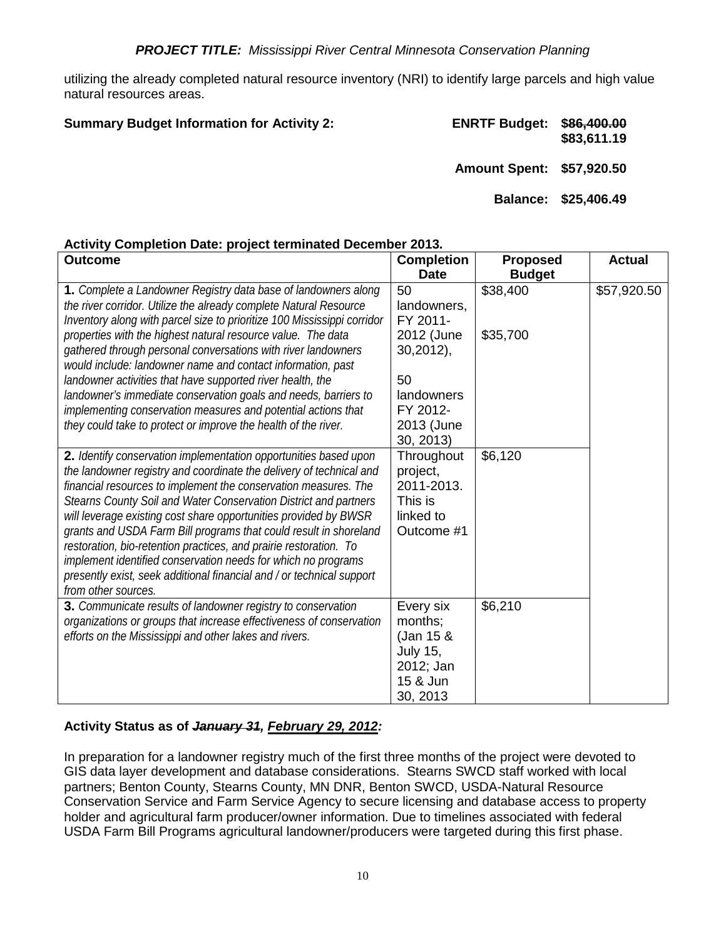utilizing the already completed natural resource inventory (NRI) to identify large parcels and high value natural resources areas.

**Summary Budget Information for Activity 2: ENRTF Budget: \$86,400.00 \$83,611.19 Amount Spent: \$57,920.50**

# **Balance: \$25,406.49**

## **Activity Completion Date: project terminated December 2013.**

| <b>Outcome</b>                                                                                                                                                                                                                                                                                                                                                                                                                                                                                                                                                                                                                                                                     | <b>Completion</b>                                                                                                     | <b>Proposed</b>                  | <b>Actual</b> |
|------------------------------------------------------------------------------------------------------------------------------------------------------------------------------------------------------------------------------------------------------------------------------------------------------------------------------------------------------------------------------------------------------------------------------------------------------------------------------------------------------------------------------------------------------------------------------------------------------------------------------------------------------------------------------------|-----------------------------------------------------------------------------------------------------------------------|----------------------------------|---------------|
|                                                                                                                                                                                                                                                                                                                                                                                                                                                                                                                                                                                                                                                                                    | <b>Date</b>                                                                                                           | <b>Budget</b>                    |               |
| 1. Complete a Landowner Registry data base of landowners along<br>the river corridor. Utilize the already complete Natural Resource<br>Inventory along with parcel size to prioritize 100 Mississippi corridor<br>properties with the highest natural resource value. The data<br>gathered through personal conversations with river landowners<br>would include: landowner name and contact information, past<br>landowner activities that have supported river health, the<br>landowner's immediate conservation goals and needs, barriers to<br>implementing conservation measures and potential actions that<br>they could take to protect or improve the health of the river. | 50<br>landowners,<br>FY 2011-<br>2012 (June<br>$30,2012$ ,<br>50<br>landowners<br>FY 2012-<br>2013 (June<br>30, 2013) | $\overline{$}38,400$<br>\$35,700 | \$57,920.50   |
| 2. Identify conservation implementation opportunities based upon<br>the landowner registry and coordinate the delivery of technical and<br>financial resources to implement the conservation measures. The<br>Stearns County Soil and Water Conservation District and partners<br>will leverage existing cost share opportunities provided by BWSR<br>grants and USDA Farm Bill programs that could result in shoreland<br>restoration, bio-retention practices, and prairie restoration. To<br>implement identified conservation needs for which no programs<br>presently exist, seek additional financial and / or technical support<br>from other sources.                      | Throughout<br>project,<br>2011-2013.<br>This is<br>linked to<br>Outcome #1                                            | \$6,120                          |               |
| 3. Communicate results of landowner registry to conservation<br>organizations or groups that increase effectiveness of conservation<br>efforts on the Mississippi and other lakes and rivers.                                                                                                                                                                                                                                                                                                                                                                                                                                                                                      | Every six<br>months;<br>(Jan 15 &<br><b>July 15,</b><br>2012; Jan<br>15 & Jun<br>30, 2013                             | \$6,210                          |               |

# **Activity Status as of** *January 31, February 29, 2012:*

In preparation for a landowner registry much of the first three months of the project were devoted to GIS data layer development and database considerations. Stearns SWCD staff worked with local partners; Benton County, Stearns County, MN DNR, Benton SWCD, USDA-Natural Resource Conservation Service and Farm Service Agency to secure licensing and database access to property holder and agricultural farm producer/owner information. Due to timelines associated with federal USDA Farm Bill Programs agricultural landowner/producers were targeted during this first phase.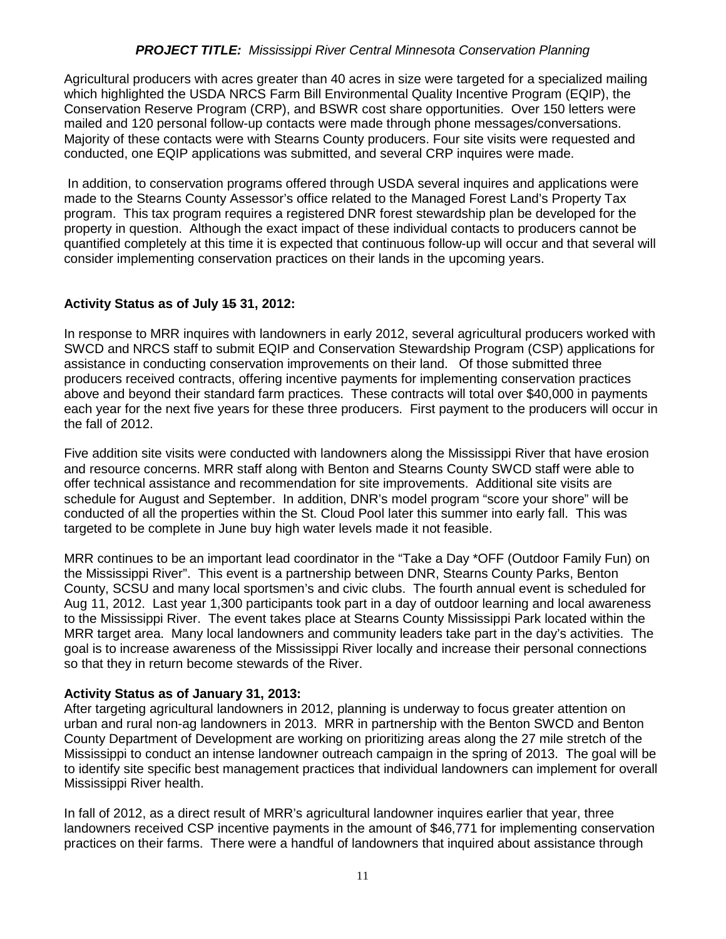Agricultural producers with acres greater than 40 acres in size were targeted for a specialized mailing which highlighted the USDA NRCS Farm Bill Environmental Quality Incentive Program (EQIP), the Conservation Reserve Program (CRP), and BSWR cost share opportunities. Over 150 letters were mailed and 120 personal follow-up contacts were made through phone messages/conversations. Majority of these contacts were with Stearns County producers. Four site visits were requested and conducted, one EQIP applications was submitted, and several CRP inquires were made.

In addition, to conservation programs offered through USDA several inquires and applications were made to the Stearns County Assessor's office related to the Managed Forest Land's Property Tax program. This tax program requires a registered DNR forest stewardship plan be developed for the property in question. Although the exact impact of these individual contacts to producers cannot be quantified completely at this time it is expected that continuous follow-up will occur and that several will consider implementing conservation practices on their lands in the upcoming years.

#### **Activity Status as of July 15 31, 2012:**

In response to MRR inquires with landowners in early 2012, several agricultural producers worked with SWCD and NRCS staff to submit EQIP and Conservation Stewardship Program (CSP) applications for assistance in conducting conservation improvements on their land. Of those submitted three producers received contracts, offering incentive payments for implementing conservation practices above and beyond their standard farm practices. These contracts will total over \$40,000 in payments each year for the next five years for these three producers. First payment to the producers will occur in the fall of 2012.

Five addition site visits were conducted with landowners along the Mississippi River that have erosion and resource concerns. MRR staff along with Benton and Stearns County SWCD staff were able to offer technical assistance and recommendation for site improvements. Additional site visits are schedule for August and September. In addition, DNR's model program "score your shore" will be conducted of all the properties within the St. Cloud Pool later this summer into early fall. This was targeted to be complete in June buy high water levels made it not feasible.

MRR continues to be an important lead coordinator in the "Take a Day \*OFF (Outdoor Family Fun) on the Mississippi River". This event is a partnership between DNR, Stearns County Parks, Benton County, SCSU and many local sportsmen's and civic clubs. The fourth annual event is scheduled for Aug 11, 2012. Last year 1,300 participants took part in a day of outdoor learning and local awareness to the Mississippi River. The event takes place at Stearns County Mississippi Park located within the MRR target area. Many local landowners and community leaders take part in the day's activities. The goal is to increase awareness of the Mississippi River locally and increase their personal connections so that they in return become stewards of the River.

#### **Activity Status as of January 31, 2013:**

After targeting agricultural landowners in 2012, planning is underway to focus greater attention on urban and rural non-ag landowners in 2013. MRR in partnership with the Benton SWCD and Benton County Department of Development are working on prioritizing areas along the 27 mile stretch of the Mississippi to conduct an intense landowner outreach campaign in the spring of 2013. The goal will be to identify site specific best management practices that individual landowners can implement for overall Mississippi River health.

In fall of 2012, as a direct result of MRR's agricultural landowner inquires earlier that year, three landowners received CSP incentive payments in the amount of \$46,771 for implementing conservation practices on their farms. There were a handful of landowners that inquired about assistance through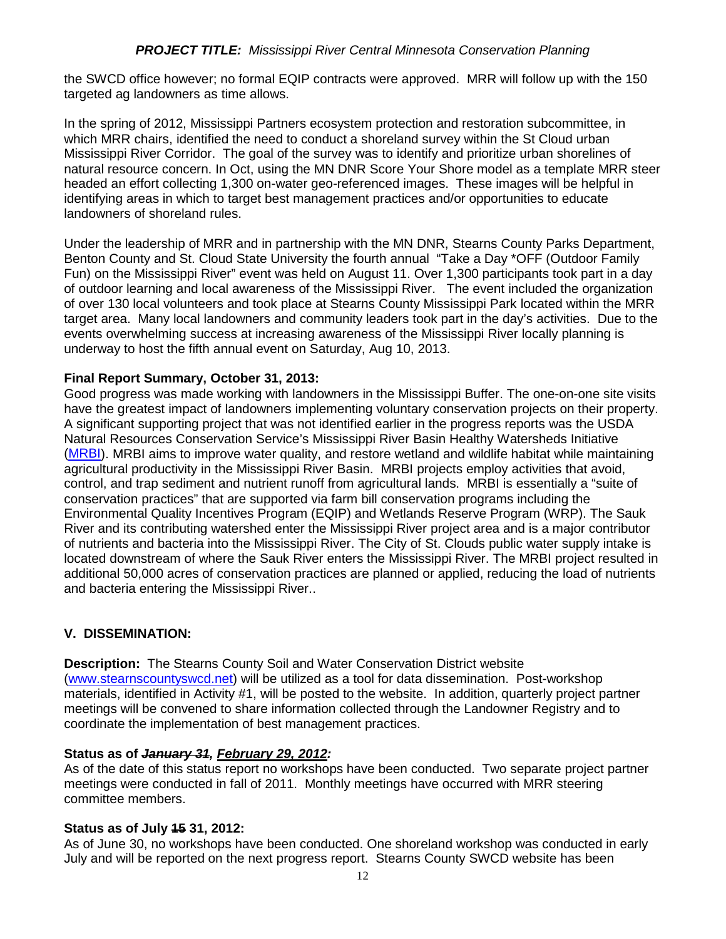the SWCD office however; no formal EQIP contracts were approved. MRR will follow up with the 150 targeted ag landowners as time allows.

In the spring of 2012, Mississippi Partners ecosystem protection and restoration subcommittee, in which MRR chairs, identified the need to conduct a shoreland survey within the St Cloud urban Mississippi River Corridor. The goal of the survey was to identify and prioritize urban shorelines of natural resource concern. In Oct, using the MN DNR Score Your Shore model as a template MRR steer headed an effort collecting 1,300 on-water geo-referenced images. These images will be helpful in identifying areas in which to target best management practices and/or opportunities to educate landowners of shoreland rules.

Under the leadership of MRR and in partnership with the MN DNR, Stearns County Parks Department, Benton County and St. Cloud State University the fourth annual "Take a Day \*OFF (Outdoor Family Fun) on the Mississippi River" event was held on August 11. Over 1,300 participants took part in a day of outdoor learning and local awareness of the Mississippi River. The event included the organization of over 130 local volunteers and took place at Stearns County Mississippi Park located within the MRR target area. Many local landowners and community leaders took part in the day's activities. Due to the events overwhelming success at increasing awareness of the Mississippi River locally planning is underway to host the fifth annual event on Saturday, Aug 10, 2013.

#### **Final Report Summary, October 31, 2013:**

Good progress was made working with landowners in the Mississippi Buffer. The one-on-one site visits have the greatest impact of landowners implementing voluntary conservation projects on their property. A significant supporting project that was not identified earlier in the progress reports was the USDA Natural Resources Conservation Service's Mississippi River Basin Healthy Watersheds Initiative [\(MRBI\)](http://www.nrcs.usda.gov/wps/portal/nrcs/detailfull/national/programs/farmbill/initiatives/?cid=stelprdb1048200). MRBI aims to improve water quality, and restore wetland and wildlife habitat while maintaining agricultural productivity in the Mississippi River Basin. MRBI projects employ activities that avoid, control, and trap sediment and nutrient runoff from agricultural lands. MRBI is essentially a "suite of conservation practices" that are supported via farm bill conservation programs including the Environmental Quality Incentives Program (EQIP) and Wetlands Reserve Program (WRP). The Sauk River and its contributing watershed enter the Mississippi River project area and is a major contributor of nutrients and bacteria into the Mississippi River. The City of St. Clouds public water supply intake is located downstream of where the Sauk River enters the Mississippi River. The MRBI project resulted in additional 50,000 acres of conservation practices are planned or applied, reducing the load of nutrients and bacteria entering the Mississippi River..

## **V. DISSEMINATION:**

**Description:** The Stearns County Soil and Water Conservation District website [\(www.stearnscountyswcd.net\)](http://www.stearnscountyswcd.net/) will be utilized as a tool for data dissemination. Post-workshop materials, identified in Activity #1, will be posted to the website. In addition, quarterly project partner meetings will be convened to share information collected through the Landowner Registry and to coordinate the implementation of best management practices.

#### **Status as of** *January 31, February 29, 2012:*

As of the date of this status report no workshops have been conducted. Two separate project partner meetings were conducted in fall of 2011. Monthly meetings have occurred with MRR steering committee members.

#### **Status as of July 15 31, 2012:**

As of June 30, no workshops have been conducted. One shoreland workshop was conducted in early July and will be reported on the next progress report. Stearns County SWCD website has been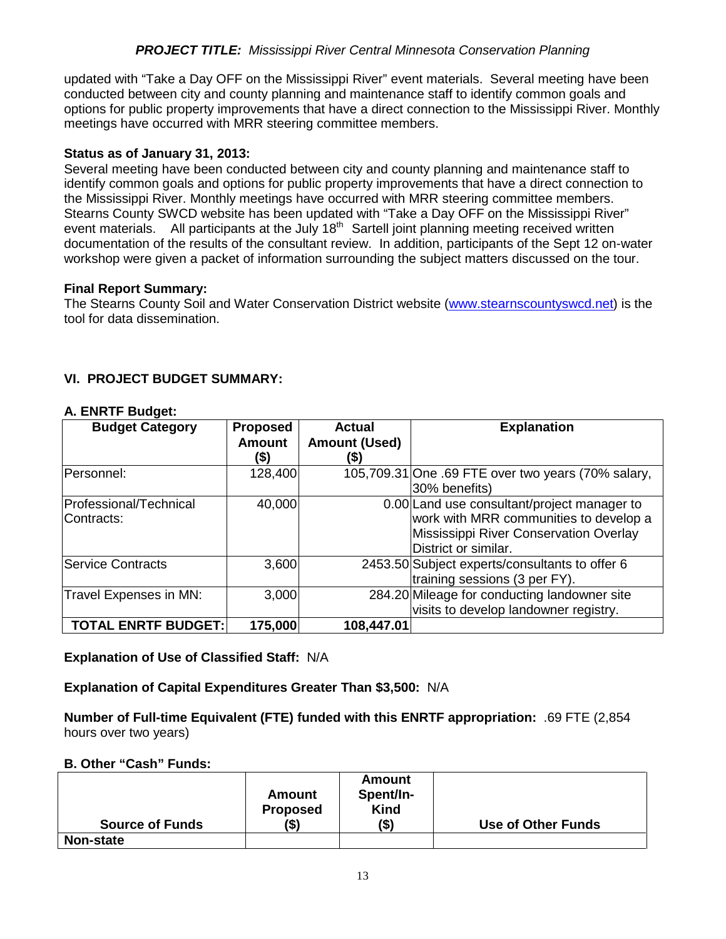updated with "Take a Day OFF on the Mississippi River" event materials. Several meeting have been conducted between city and county planning and maintenance staff to identify common goals and options for public property improvements that have a direct connection to the Mississippi River. Monthly meetings have occurred with MRR steering committee members.

## **Status as of January 31, 2013:**

Several meeting have been conducted between city and county planning and maintenance staff to identify common goals and options for public property improvements that have a direct connection to the Mississippi River. Monthly meetings have occurred with MRR steering committee members. Stearns County SWCD website has been updated with "Take a Day OFF on the Mississippi River" event materials. All participants at the July  $18<sup>th</sup>$  Sartell joint planning meeting received written documentation of the results of the consultant review. In addition, participants of the Sept 12 on-water workshop were given a packet of information surrounding the subject matters discussed on the tour.

## **Final Report Summary:**

The Stearns County Soil and Water Conservation District website [\(www.stearnscountyswcd.net\)](http://www.stearnscountyswcd.net/) is the tool for data dissemination.

# **VI. PROJECT BUDGET SUMMARY:**

| <b>Budget Category</b>     | <b>Proposed</b> | Actual               | <b>Explanation</b>                                 |
|----------------------------|-----------------|----------------------|----------------------------------------------------|
|                            | <b>Amount</b>   | <b>Amount (Used)</b> |                                                    |
|                            | (\$)            | (\$)                 |                                                    |
| Personnel:                 | 128,400         |                      | 105,709.31 One .69 FTE over two years (70% salary, |
|                            |                 |                      | 30% benefits)                                      |
| Professional/Technical     | 40,000          |                      | 0.00 Land use consultant/project manager to        |
| Contracts:                 |                 |                      | work with MRR communities to develop a             |
|                            |                 |                      | Mississippi River Conservation Overlay             |
|                            |                 |                      | District or similar.                               |
| Service Contracts          | 3,600           |                      | 2453.50 Subject experts/consultants to offer 6     |
|                            |                 |                      | training sessions (3 per FY).                      |
| Travel Expenses in MN:     | 3,000           |                      | 284.20 Mileage for conducting landowner site       |
|                            |                 |                      | visits to develop landowner registry.              |
| <b>TOTAL ENRTF BUDGET:</b> | 175,000         | 108,447.01           |                                                    |

#### **A. ENRTF Budget:**

## **Explanation of Use of Classified Staff:** N/A

**Explanation of Capital Expenditures Greater Than \$3,500:** N/A

**Number of Full-time Equivalent (FTE) funded with this ENRTF appropriation:** .69 FTE (2,854 hours over two years)

#### **B. Other "Cash" Funds:**

| <b>Source of Funds</b> | Amount<br><b>Proposed</b><br>(\$) | Amount<br>Spent/In-<br><b>Kind</b><br>(\$) | <b>Use of Other Funds</b> |
|------------------------|-----------------------------------|--------------------------------------------|---------------------------|
| Non-state              |                                   |                                            |                           |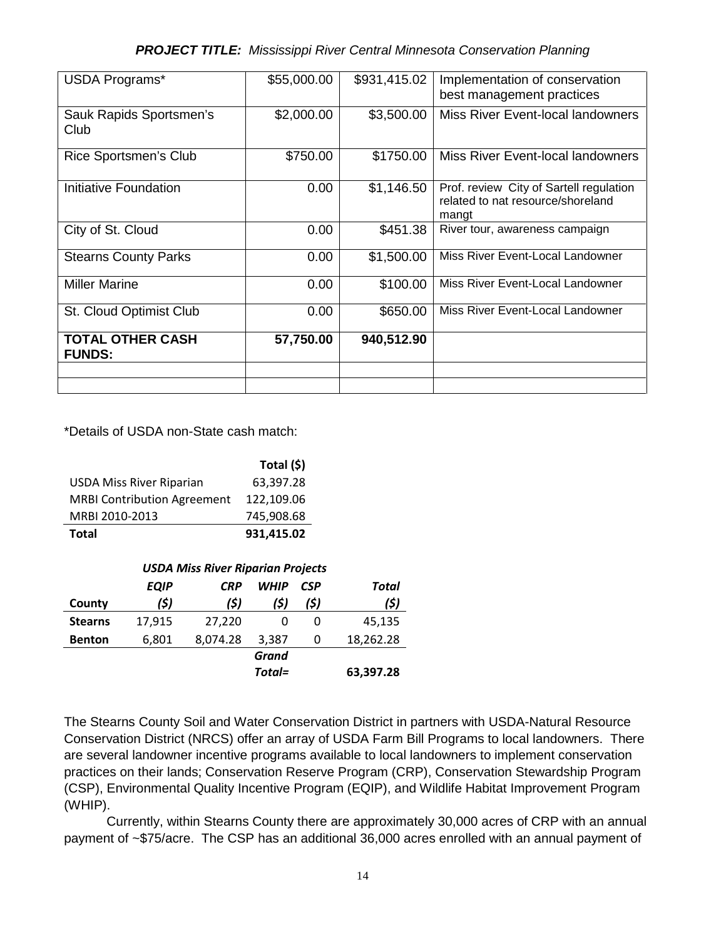| USDA Programs*                           | \$55,000.00 | \$931,415.02 | Implementation of conservation<br>best management practices                           |
|------------------------------------------|-------------|--------------|---------------------------------------------------------------------------------------|
| Sauk Rapids Sportsmen's<br>Club          | \$2,000.00  | \$3,500.00   | Miss River Event-local landowners                                                     |
| Rice Sportsmen's Club                    | \$750.00    | \$1750.00    | Miss River Event-local landowners                                                     |
| Initiative Foundation                    | 0.00        | \$1,146.50   | Prof. review City of Sartell regulation<br>related to nat resource/shoreland<br>mangt |
| City of St. Cloud                        | 0.00        | \$451.38     | River tour, awareness campaign                                                        |
| <b>Stearns County Parks</b>              | 0.00        | \$1,500.00   | Miss River Event-Local Landowner                                                      |
| <b>Miller Marine</b>                     | 0.00        | \$100.00     | Miss River Event-Local Landowner                                                      |
| St. Cloud Optimist Club                  | 0.00        | \$650.00     | Miss River Event-Local Landowner                                                      |
| <b>TOTAL OTHER CASH</b><br><b>FUNDS:</b> | 57,750.00   | 940,512.90   |                                                                                       |
|                                          |             |              |                                                                                       |
|                                          |             |              |                                                                                       |

\*Details of USDA non-State cash match:

|                                    | Total (\$) |
|------------------------------------|------------|
| <b>USDA Miss River Riparian</b>    | 63,397.28  |
| <b>MRBI Contribution Agreement</b> | 122,109.06 |
| MRBI 2010-2013                     | 745,908.68 |
| Total                              | 931,415.02 |

| <b>USDA Miss River Riparian Projects</b> |                                                          |          |          |          |           |  |
|------------------------------------------|----------------------------------------------------------|----------|----------|----------|-----------|--|
|                                          | <b>WHIP</b><br><b>EQIP</b><br>CSP<br><b>CRP</b><br>Total |          |          |          |           |  |
| County                                   | (\$)                                                     | (\$)     | (\$)     | (\$)     | (\$)      |  |
| <b>Stearns</b>                           | 17,915                                                   | 27,220   | $\Omega$ | $\Omega$ | 45,135    |  |
| <b>Benton</b>                            | 6,801                                                    | 8,074.28 | 3,387    | 0        | 18,262.28 |  |
|                                          |                                                          |          | Grand    |          |           |  |
|                                          |                                                          |          | Total=   |          | 63,397.28 |  |

The Stearns County Soil and Water Conservation District in partners with USDA-Natural Resource Conservation District (NRCS) offer an array of USDA Farm Bill Programs to local landowners. There are several landowner incentive programs available to local landowners to implement conservation practices on their lands; Conservation Reserve Program (CRP), Conservation Stewardship Program (CSP), Environmental Quality Incentive Program (EQIP), and Wildlife Habitat Improvement Program (WHIP).

Currently, within Stearns County there are approximately 30,000 acres of CRP with an annual payment of ~\$75/acre. The CSP has an additional 36,000 acres enrolled with an annual payment of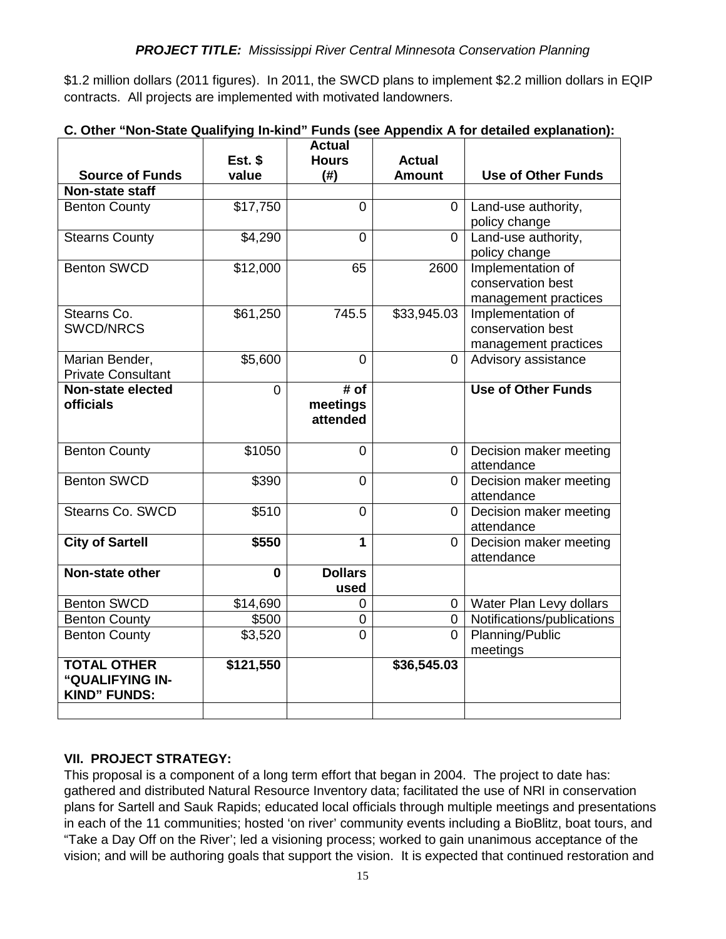\$1.2 million dollars (2011 figures). In 2011, the SWCD plans to implement \$2.2 million dollars in EQIP contracts. All projects are implemented with motivated landowners.

|                           |                | <b>Actual</b>  |                |                            |
|---------------------------|----------------|----------------|----------------|----------------------------|
|                           | Est. \$        | <b>Hours</b>   | <b>Actual</b>  |                            |
| <b>Source of Funds</b>    | value          | (# )           | <b>Amount</b>  | <b>Use of Other Funds</b>  |
| Non-state staff           |                |                |                |                            |
| <b>Benton County</b>      | \$17,750       | $\Omega$       | $\Omega$       | Land-use authority,        |
|                           |                |                |                | policy change              |
| <b>Stearns County</b>     | \$4,290        | $\overline{0}$ | $\overline{0}$ | Land-use authority,        |
|                           |                |                |                | policy change              |
| <b>Benton SWCD</b>        | \$12,000       | 65             | 2600           | Implementation of          |
|                           |                |                |                | conservation best          |
|                           |                |                |                | management practices       |
| Stearns Co.               | \$61,250       | 745.5          | \$33,945.03    | Implementation of          |
| <b>SWCD/NRCS</b>          |                |                |                | conservation best          |
|                           |                |                |                | management practices       |
| Marian Bender,            | \$5,600        | $\overline{0}$ | $\overline{0}$ | Advisory assistance        |
| <b>Private Consultant</b> |                |                |                |                            |
| Non-state elected         | $\overline{0}$ | # of           |                | <b>Use of Other Funds</b>  |
| <b>officials</b>          |                | meetings       |                |                            |
|                           |                | attended       |                |                            |
|                           |                |                |                |                            |
| <b>Benton County</b>      | \$1050         | $\overline{0}$ | 0              | Decision maker meeting     |
|                           |                |                |                | attendance                 |
| <b>Benton SWCD</b>        | \$390          | 0              | 0              | Decision maker meeting     |
|                           |                |                |                | attendance                 |
| Stearns Co. SWCD          | \$510          | 0              | 0              | Decision maker meeting     |
|                           |                |                |                | attendance                 |
| <b>City of Sartell</b>    | \$550          | 1              | $\overline{0}$ | Decision maker meeting     |
|                           |                |                |                | attendance                 |
| Non-state other           | $\mathbf{0}$   | <b>Dollars</b> |                |                            |
|                           |                | used           |                |                            |
| <b>Benton SWCD</b>        | \$14,690       | 0              | 0              | Water Plan Levy dollars    |
| <b>Benton County</b>      | \$500          | 0              | 0              | Notifications/publications |
| <b>Benton County</b>      | \$3,520        | $\overline{0}$ | $\overline{0}$ | Planning/Public            |
|                           |                |                |                | meetings                   |
| <b>TOTAL OTHER</b>        | \$121,550      |                | \$36,545.03    |                            |
| "QUALIFYING IN-           |                |                |                |                            |
| <b>KIND" FUNDS:</b>       |                |                |                |                            |
|                           |                |                |                |                            |

# **C. Other "Non-State Qualifying In-kind" Funds (see Appendix A for detailed explanation):**

# **VII. PROJECT STRATEGY:**

This proposal is a component of a long term effort that began in 2004. The project to date has: gathered and distributed Natural Resource Inventory data; facilitated the use of NRI in conservation plans for Sartell and Sauk Rapids; educated local officials through multiple meetings and presentations in each of the 11 communities; hosted 'on river' community events including a BioBlitz, boat tours, and "Take a Day Off on the River'; led a visioning process; worked to gain unanimous acceptance of the vision; and will be authoring goals that support the vision. It is expected that continued restoration and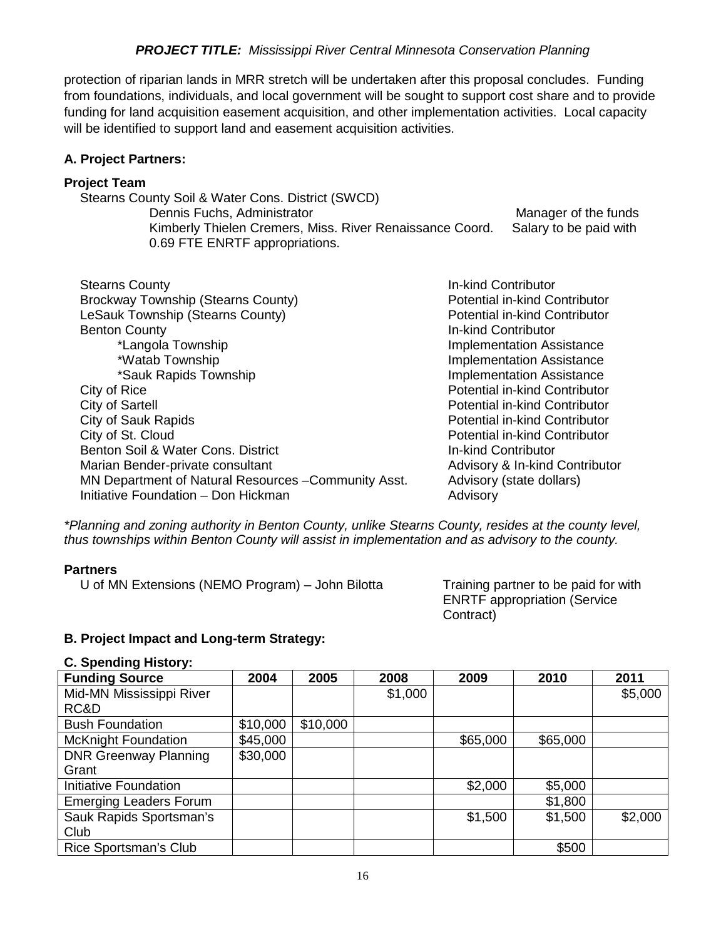protection of riparian lands in MRR stretch will be undertaken after this proposal concludes. Funding from foundations, individuals, and local government will be sought to support cost share and to provide funding for land acquisition easement acquisition, and other implementation activities. Local capacity will be identified to support land and easement acquisition activities.

# **A. Project Partners:**

# **Project Team**

Stearns County Soil & Water Cons. District (SWCD) Dennis Fuchs, Administrator<br>Kimberly Thielen Cremers, Miss. River Renaissance Coord. Salary to be paid with Kimberly Thielen Cremers, Miss. River Renaissance Coord. 0.69 FTE ENRTF appropriations.

Stearns County In-kind Contributor Brockway Township (Stearns County) LeSauk Township (Stearns County) **Potential in-kind Contributor** Benton County **In-kind Contributor In-kind Contributor** \*Langola Township Implementation Assistance \*Watab Township **Implementation Assistance** \*Sauk Rapids Township **Implementation Assistance** City of Rice **Potential in-kind Contributor** Potential in-kind Contributor City of Sartell Potential in-kind Contributor City of Sauk Rapids Potential in-kind Contributor City of St. Cloud Potential in-kind Contributor Benton Soil & Water Cons. District **In-kind Contributor** In-kind Contributor Marian Bender-private consultant Advisory & In-kind Contributor MN Department of Natural Resources – Community Asst. Advisory (state dollars) Initiative Foundation – Don Hickman Advisory Advisory

*\*Planning and zoning authority in Benton County, unlike Stearns County, resides at the county level, thus townships within Benton County will assist in implementation and as advisory to the county.*

## **Partners**

U of MN Extensions (NEMO Program) – John Bilotta Training partner to be paid for with

ENRTF appropriation (Service Contract)

# **B. Project Impact and Long-term Strategy:**

## **C. Spending History:**

| <b>Funding Source</b>         | 2004     | 2005     | 2008    | 2009     | 2010     | 2011    |
|-------------------------------|----------|----------|---------|----------|----------|---------|
| Mid-MN Mississippi River      |          |          | \$1,000 |          |          | \$5,000 |
| RC&D                          |          |          |         |          |          |         |
| <b>Bush Foundation</b>        | \$10,000 | \$10,000 |         |          |          |         |
| <b>McKnight Foundation</b>    | \$45,000 |          |         | \$65,000 | \$65,000 |         |
| <b>DNR Greenway Planning</b>  | \$30,000 |          |         |          |          |         |
| Grant                         |          |          |         |          |          |         |
| Initiative Foundation         |          |          |         | \$2,000  | \$5,000  |         |
| <b>Emerging Leaders Forum</b> |          |          |         |          | \$1,800  |         |
| Sauk Rapids Sportsman's       |          |          |         | \$1,500  | \$1,500  | \$2,000 |
| Club                          |          |          |         |          |          |         |
| Rice Sportsman's Club         |          |          |         |          | \$500    |         |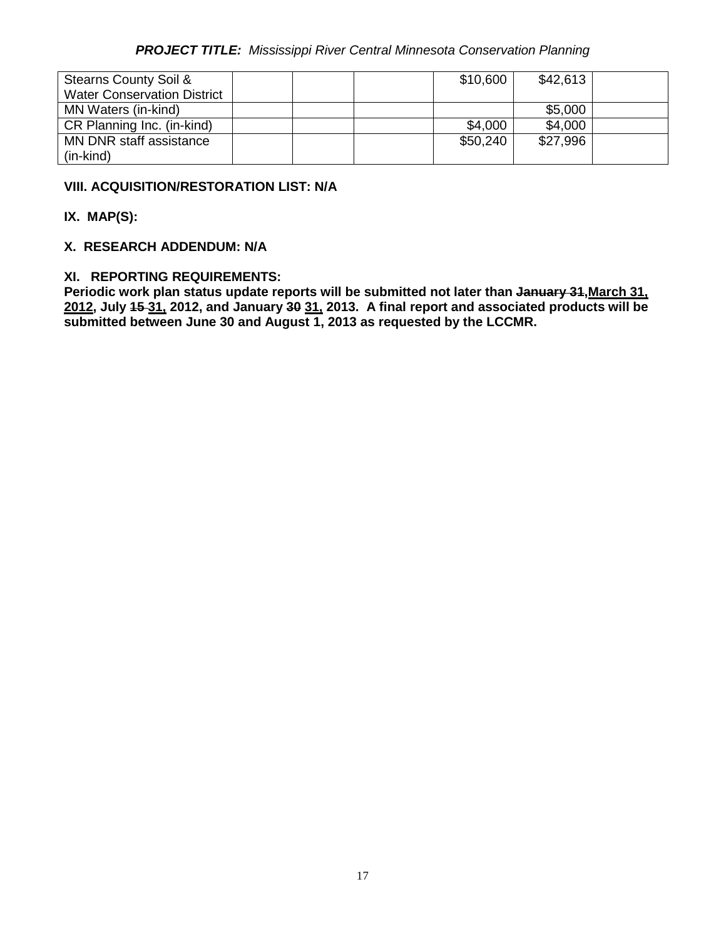| <b>Stearns County Soil &amp;</b>   | \$10,600 | \$42,613 |  |
|------------------------------------|----------|----------|--|
| <b>Water Conservation District</b> |          |          |  |
| MN Waters (in-kind)                |          | \$5,000  |  |
| CR Planning Inc. (in-kind)         | \$4,000  | \$4,000  |  |
| MN DNR staff assistance            | \$50,240 | \$27,996 |  |
| (in-kind)                          |          |          |  |

# **VIII. ACQUISITION/RESTORATION LIST: N/A**

## **IX. MAP(S):**

# **X. RESEARCH ADDENDUM: N/A**

# **XI. REPORTING REQUIREMENTS:**

Periodic work plan status update reports will be submitted not later than January 31, March 31, **2012, July 15 31, 2012, and January 30 31, 2013. A final report and associated products will be submitted between June 30 and August 1, 2013 as requested by the LCCMR.**